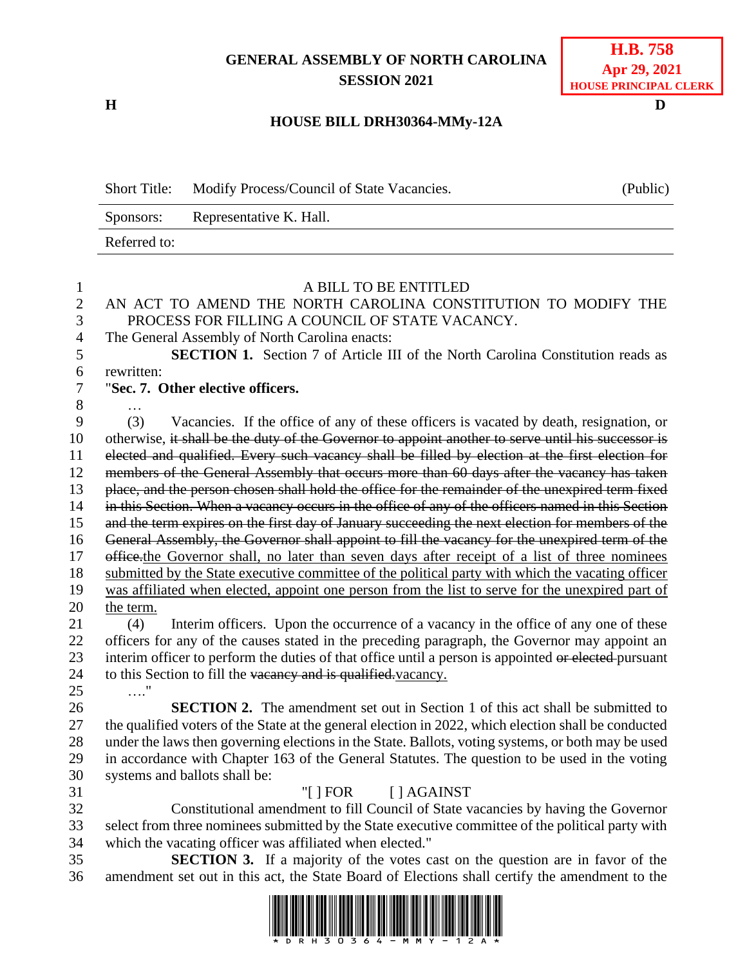## **GENERAL ASSEMBLY OF NORTH CAROLINA SESSION 2021**

**H D**

## **H.B. 758 Apr 29, 2021 HOUSE PRINCIPAL CLERK**

## **HOUSE BILL DRH30364-MMy-12A**

|                     | <b>Short Title:</b><br>Modify Process/Council of State Vacancies.                                                                                                                               |                                                                                                                                                                                              | (Public) |  |
|---------------------|-------------------------------------------------------------------------------------------------------------------------------------------------------------------------------------------------|----------------------------------------------------------------------------------------------------------------------------------------------------------------------------------------------|----------|--|
|                     | Sponsors:                                                                                                                                                                                       | Representative K. Hall.                                                                                                                                                                      |          |  |
|                     | Referred to:                                                                                                                                                                                    |                                                                                                                                                                                              |          |  |
| $\mathbf{1}$        |                                                                                                                                                                                                 | A BILL TO BE ENTITLED                                                                                                                                                                        |          |  |
| $\overline{2}$<br>3 | AN ACT TO AMEND THE NORTH CAROLINA CONSTITUTION TO MODIFY THE<br>PROCESS FOR FILLING A COUNCIL OF STATE VACANCY.                                                                                |                                                                                                                                                                                              |          |  |
| 4<br>5              |                                                                                                                                                                                                 | The General Assembly of North Carolina enacts:<br><b>SECTION 1.</b> Section 7 of Article III of the North Carolina Constitution reads as                                                     |          |  |
| 6<br>$\tau$         | rewritten:<br>"Sec. 7. Other elective officers.                                                                                                                                                 |                                                                                                                                                                                              |          |  |
| 8<br>9              | (3)                                                                                                                                                                                             | Vacancies. If the office of any of these officers is vacated by death, resignation, or                                                                                                       |          |  |
| 10                  |                                                                                                                                                                                                 | otherwise, it shall be the duty of the Governor to appoint another to serve until his successor is                                                                                           |          |  |
| 11<br>12            |                                                                                                                                                                                                 | elected and qualified. Every such vacancy shall be filled by election at the first election for<br>members of the General Assembly that occurs more than 60 days after the vacancy has taken |          |  |
| 13                  |                                                                                                                                                                                                 | place, and the person chosen shall hold the office for the remainder of the unexpired term fixed                                                                                             |          |  |
| 14                  | in this Section. When a vacancy occurs in the office of any of the officers named in this Section                                                                                               |                                                                                                                                                                                              |          |  |
| 15                  | and the term expires on the first day of January succeeding the next election for members of the                                                                                                |                                                                                                                                                                                              |          |  |
| 16                  | General Assembly, the Governor shall appoint to fill the vacancy for the unexpired term of the<br>office the Governor shall, no later than seven days after receipt of a list of three nominees |                                                                                                                                                                                              |          |  |
| 17<br>18            |                                                                                                                                                                                                 | submitted by the State executive committee of the political party with which the vacating officer                                                                                            |          |  |
| 19                  |                                                                                                                                                                                                 | was affiliated when elected, appoint one person from the list to serve for the unexpired part of                                                                                             |          |  |
| 20                  | the term.                                                                                                                                                                                       |                                                                                                                                                                                              |          |  |
| 21                  | (4)                                                                                                                                                                                             | Interim officers. Upon the occurrence of a vacancy in the office of any one of these                                                                                                         |          |  |
| 22                  | officers for any of the causes stated in the preceding paragraph, the Governor may appoint an                                                                                                   |                                                                                                                                                                                              |          |  |
| 23                  | interim officer to perform the duties of that office until a person is appointed or elected-pursuant                                                                                            |                                                                                                                                                                                              |          |  |
| 24                  |                                                                                                                                                                                                 | to this Section to fill the vacancy and is qualified vacancy.                                                                                                                                |          |  |
| 25                  |                                                                                                                                                                                                 |                                                                                                                                                                                              |          |  |
| 26                  |                                                                                                                                                                                                 | <b>SECTION 2.</b> The amendment set out in Section 1 of this act shall be submitted to                                                                                                       |          |  |
| 27                  |                                                                                                                                                                                                 | the qualified voters of the State at the general election in 2022, which election shall be conducted                                                                                         |          |  |
| 28                  |                                                                                                                                                                                                 | under the laws then governing elections in the State. Ballots, voting systems, or both may be used                                                                                           |          |  |
| 29                  |                                                                                                                                                                                                 | in accordance with Chapter 163 of the General Statutes. The question to be used in the voting                                                                                                |          |  |
| 30                  |                                                                                                                                                                                                 | systems and ballots shall be:                                                                                                                                                                |          |  |
| 31                  |                                                                                                                                                                                                 | [ ] AGAINST<br>"[ $\vert$ FOR                                                                                                                                                                |          |  |
| 32                  |                                                                                                                                                                                                 | Constitutional amendment to fill Council of State vacancies by having the Governor                                                                                                           |          |  |
| 33                  |                                                                                                                                                                                                 | select from three nominees submitted by the State executive committee of the political party with                                                                                            |          |  |
| 34                  |                                                                                                                                                                                                 | which the vacating officer was affiliated when elected."                                                                                                                                     |          |  |
| 35                  |                                                                                                                                                                                                 | <b>SECTION 3.</b> If a majority of the votes cast on the question are in favor of the                                                                                                        |          |  |
| 36                  | amendment set out in this act, the State Board of Elections shall certify the amendment to the                                                                                                  |                                                                                                                                                                                              |          |  |